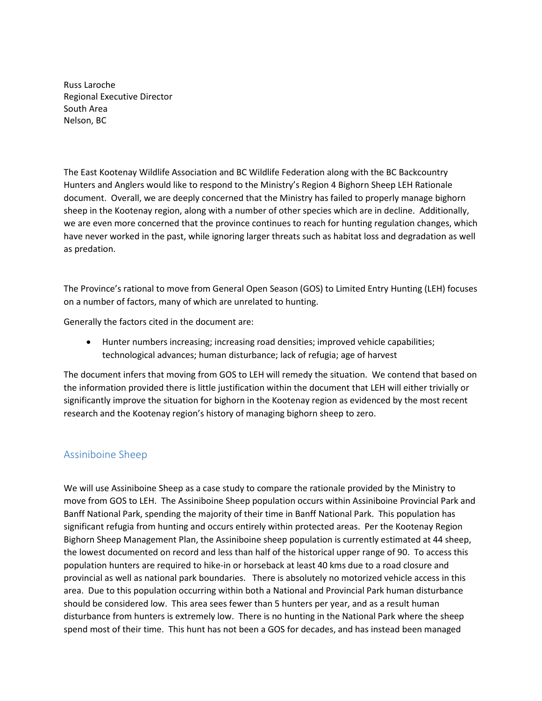Russ Laroche Regional Executive Director South Area Nelson, BC

The East Kootenay Wildlife Association and BC Wildlife Federation along with the BC Backcountry Hunters and Anglers would like to respond to the Ministry's Region 4 Bighorn Sheep LEH Rationale document. Overall, we are deeply concerned that the Ministry has failed to properly manage bighorn sheep in the Kootenay region, along with a number of other species which are in decline. Additionally, we are even more concerned that the province continues to reach for hunting regulation changes, which have never worked in the past, while ignoring larger threats such as habitat loss and degradation as well as predation.

The Province's rational to move from General Open Season (GOS) to Limited Entry Hunting (LEH) focuses on a number of factors, many of which are unrelated to hunting.

Generally the factors cited in the document are:

• Hunter numbers increasing; increasing road densities; improved vehicle capabilities; technological advances; human disturbance; lack of refugia; age of harvest

The document infers that moving from GOS to LEH will remedy the situation. We contend that based on the information provided there is little justification within the document that LEH will either trivially or significantly improve the situation for bighorn in the Kootenay region as evidenced by the most recent research and the Kootenay region's history of managing bighorn sheep to zero.

## Assiniboine Sheep

We will use Assiniboine Sheep as a case study to compare the rationale provided by the Ministry to move from GOS to LEH. The Assiniboine Sheep population occurs within Assiniboine Provincial Park and Banff National Park, spending the majority of their time in Banff National Park. This population has significant refugia from hunting and occurs entirely within protected areas. Per the Kootenay Region Bighorn Sheep Management Plan, the Assiniboine sheep population is currently estimated at 44 sheep, the lowest documented on record and less than half of the historical upper range of 90. To access this population hunters are required to hike-in or horseback at least 40 kms due to a road closure and provincial as well as national park boundaries. There is absolutely no motorized vehicle access in this area. Due to this population occurring within both a National and Provincial Park human disturbance should be considered low. This area sees fewer than 5 hunters per year, and as a result human disturbance from hunters is extremely low. There is no hunting in the National Park where the sheep spend most of their time. This hunt has not been a GOS for decades, and has instead been managed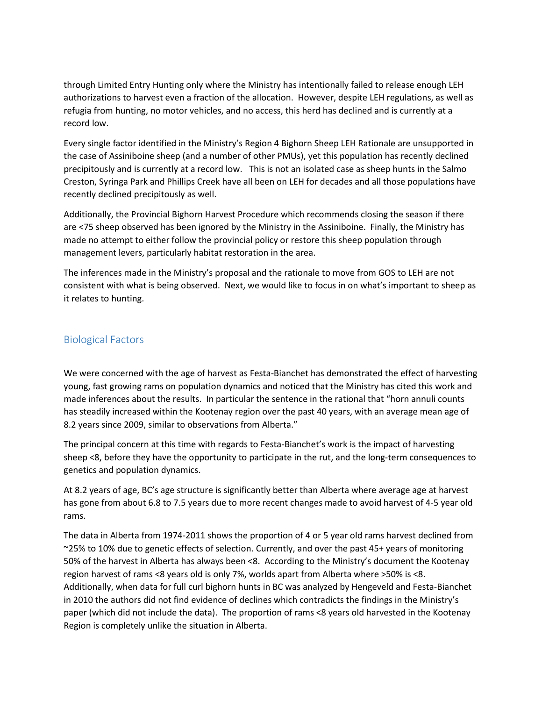through Limited Entry Hunting only where the Ministry has intentionally failed to release enough LEH authorizations to harvest even a fraction of the allocation. However, despite LEH regulations, as well as refugia from hunting, no motor vehicles, and no access, this herd has declined and is currently at a record low.

Every single factor identified in the Ministry's Region 4 Bighorn Sheep LEH Rationale are unsupported in the case of Assiniboine sheep (and a number of other PMUs), yet this population has recently declined precipitously and is currently at a record low. This is not an isolated case as sheep hunts in the Salmo Creston, Syringa Park and Phillips Creek have all been on LEH for decades and all those populations have recently declined precipitously as well.

Additionally, the Provincial Bighorn Harvest Procedure which recommends closing the season if there are <75 sheep observed has been ignored by the Ministry in the Assiniboine. Finally, the Ministry has made no attempt to either follow the provincial policy or restore this sheep population through management levers, particularly habitat restoration in the area.

The inferences made in the Ministry's proposal and the rationale to move from GOS to LEH are not consistent with what is being observed. Next, we would like to focus in on what's important to sheep as it relates to hunting.

## Biological Factors

We were concerned with the age of harvest as Festa-Bianchet has demonstrated the effect of harvesting young, fast growing rams on population dynamics and noticed that the Ministry has cited this work and made inferences about the results. In particular the sentence in the rational that "horn annuli counts has steadily increased within the Kootenay region over the past 40 years, with an average mean age of 8.2 years since 2009, similar to observations from Alberta."

The principal concern at this time with regards to Festa-Bianchet's work is the impact of harvesting sheep <8, before they have the opportunity to participate in the rut, and the long-term consequences to genetics and population dynamics.

At 8.2 years of age, BC's age structure is significantly better than Alberta where average age at harvest has gone from about 6.8 to 7.5 years due to more recent changes made to avoid harvest of 4-5 year old rams.

The data in Alberta from 1974-2011 shows the proportion of 4 or 5 year old rams harvest declined from ~25% to 10% due to genetic effects of selection. Currently, and over the past 45+ years of monitoring 50% of the harvest in Alberta has always been <8. According to the Ministry's document the Kootenay region harvest of rams <8 years old is only 7%, worlds apart from Alberta where >50% is <8. Additionally, when data for full curl bighorn hunts in BC was analyzed by Hengeveld and Festa-Bianchet in 2010 the authors did not find evidence of declines which contradicts the findings in the Ministry's paper (which did not include the data). The proportion of rams <8 years old harvested in the Kootenay Region is completely unlike the situation in Alberta.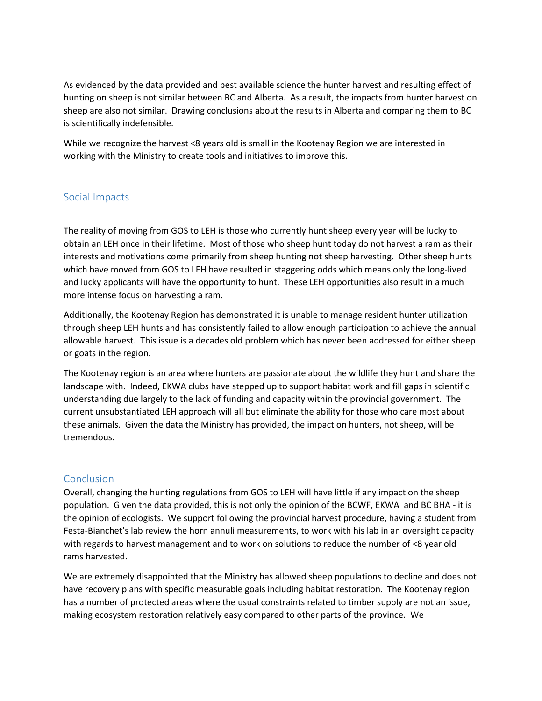As evidenced by the data provided and best available science the hunter harvest and resulting effect of hunting on sheep is not similar between BC and Alberta. As a result, the impacts from hunter harvest on sheep are also not similar. Drawing conclusions about the results in Alberta and comparing them to BC is scientifically indefensible.

While we recognize the harvest <8 years old is small in the Kootenay Region we are interested in working with the Ministry to create tools and initiatives to improve this.

## Social Impacts

The reality of moving from GOS to LEH is those who currently hunt sheep every year will be lucky to obtain an LEH once in their lifetime. Most of those who sheep hunt today do not harvest a ram as their interests and motivations come primarily from sheep hunting not sheep harvesting. Other sheep hunts which have moved from GOS to LEH have resulted in staggering odds which means only the long-lived and lucky applicants will have the opportunity to hunt. These LEH opportunities also result in a much more intense focus on harvesting a ram.

Additionally, the Kootenay Region has demonstrated it is unable to manage resident hunter utilization through sheep LEH hunts and has consistently failed to allow enough participation to achieve the annual allowable harvest. This issue is a decades old problem which has never been addressed for either sheep or goats in the region.

The Kootenay region is an area where hunters are passionate about the wildlife they hunt and share the landscape with. Indeed, EKWA clubs have stepped up to support habitat work and fill gaps in scientific understanding due largely to the lack of funding and capacity within the provincial government. The current unsubstantiated LEH approach will all but eliminate the ability for those who care most about these animals. Given the data the Ministry has provided, the impact on hunters, not sheep, will be tremendous.

## Conclusion

Overall, changing the hunting regulations from GOS to LEH will have little if any impact on the sheep population. Given the data provided, this is not only the opinion of the BCWF, EKWA and BC BHA - it is the opinion of ecologists. We support following the provincial harvest procedure, having a student from Festa-Bianchet's lab review the horn annuli measurements, to work with his lab in an oversight capacity with regards to harvest management and to work on solutions to reduce the number of <8 year old rams harvested.

We are extremely disappointed that the Ministry has allowed sheep populations to decline and does not have recovery plans with specific measurable goals including habitat restoration. The Kootenay region has a number of protected areas where the usual constraints related to timber supply are not an issue, making ecosystem restoration relatively easy compared to other parts of the province. We